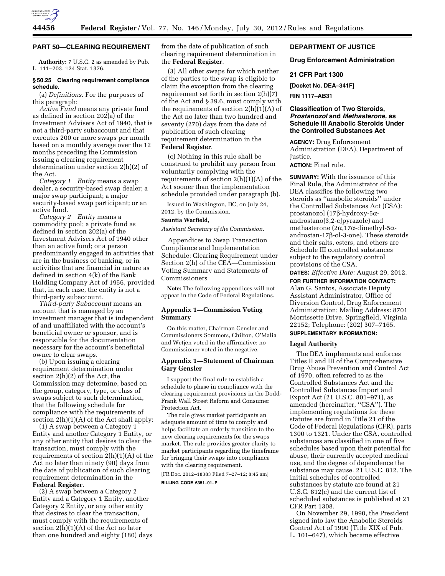

## **PART 50—CLEARING REQUIREMENT**

**Authority:** 7 U.S.C. 2 as amended by Pub. L. 111–203, 124 Stat. 1376.

### **§ 50.25 Clearing requirement compliance schedule.**

(a) *Definitions.* For the purposes of this paragraph:

*Active Fund* means any private fund as defined in section 202(a) of the Investment Advisers Act of 1940, that is not a third-party subaccount and that executes 200 or more swaps per month based on a monthly average over the 12 months preceding the Commission issuing a clearing requirement determination under section 2(h)(2) of the Act.

*Category 1 Entity* means a swap dealer, a security-based swap dealer; a major swap participant; a major security-based swap participant; or an active fund.

*Category 2 Entity* means a commodity pool; a private fund as defined in section 202(a) of the Investment Advisers Act of 1940 other than an active fund; or a person predominantly engaged in activities that are in the business of banking, or in activities that are financial in nature as defined in section 4(k) of the Bank Holding Company Act of 1956, provided that, in each case, the entity is not a third-party subaccount.

*Third-party Subaccount* means an account that is managed by an investment manager that is independent of and unaffiliated with the account's beneficial owner or sponsor, and is responsible for the documentation necessary for the account's beneficial owner to clear swaps.

(b) Upon issuing a clearing requirement determination under section 2(h)(2) of the Act, the Commission may determine, based on the group, category, type, or class of swaps subject to such determination, that the following schedule for compliance with the requirements of section 2(h)(1)(A) of the Act shall apply:

(1) A swap between a Category 1 Entity and another Category 1 Entity, or any other entity that desires to clear the transaction, must comply with the requirements of section 2(h)(1)(A) of the Act no later than ninety (90) days from the date of publication of such clearing requirement determination in the **Federal Register**.

(2) A swap between a Category 2 Entity and a Category 1 Entity, another Category 2 Entity, or any other entity that desires to clear the transaction, must comply with the requirements of section  $2(\bar{h})(1)(A)$  of the Act no later than one hundred and eighty (180) days from the date of publication of such clearing requirement determination in the **Federal Register**.

(3) All other swaps for which neither of the parties to the swap is eligible to claim the exception from the clearing requirement set forth in section 2(h)(7) of the Act and § 39.6, must comply with the requirements of section  $2(h)(1)(A)$  of the Act no later than two hundred and seventy (270) days from the date of publication of such clearing requirement determination in the **Federal Register**.

(c) Nothing in this rule shall be construed to prohibit any person from voluntarily complying with the requirements of section 2(h)(1)(A) of the Act sooner than the implementation schedule provided under paragraph (b).

Issued in Washington, DC, on July 24, 2012, by the Commission.

#### **Sauntia Warfield,**

*Assistant Secretary of the Commission.* 

Appendices to Swap Transaction Compliance and Implementation Schedule: Clearing Requirement under Section 2(h) of the CEA—Commission Voting Summary and Statements of Commissioners

**Note:** The following appendices will not appear in the Code of Federal Regulations.

# **Appendix 1—Commission Voting Summary**

On this matter, Chairman Gensler and Commissioners Sommers, Chilton, O'Malia and Wetjen voted in the affirmative; no Commissioner voted in the negative.

# **Appendix 1—Statement of Chairman Gary Gensler**

I support the final rule to establish a schedule to phase in compliance with the clearing requirement provisions in the Dodd-Frank Wall Street Reform and Consumer Protection Act.

The rule gives market participants an adequate amount of time to comply and helps facilitate an orderly transition to the new clearing requirements for the swaps market. The rule provides greater clarity to market participants regarding the timeframe for bringing their swaps into compliance with the clearing requirement.

[FR Doc. 2012–18383 Filed 7–27–12; 8:45 am]

**BILLING CODE 6351–01–P** 

# **DEPARTMENT OF JUSTICE**

### **Drug Enforcement Administration**

### **21 CFR Part 1300**

**[Docket No. DEA–341F]** 

**RIN 1117–AB31** 

## **Classification of Two Steroids,**  *Prostanozol* **and** *Methasterone,* **as Schedule III Anabolic Steroids Under the Controlled Substances Act**

**AGENCY:** Drug Enforcement Administration (DEA), Department of Justice.

**ACTION:** Final rule.

**SUMMARY:** With the issuance of this Final Rule, the Administrator of the DEA classifies the following two steroids as ''anabolic steroids'' under the Controlled Substances Act (CSA): prostanozol (17b-hydroxy-5aandrostano[3,2-c]pyrazole) and methasterone  $(2\alpha, 17\alpha$ -dimethyl-5 $\alpha$ androstan-17b-ol-3-one). These steroids and their salts, esters, and ethers are Schedule III controlled substances subject to the regulatory control provisions of the CSA.

**DATES:** *Effective Date:* August 29, 2012. **FOR FURTHER INFORMATION CONTACT:** 

Alan G. Santos, Associate Deputy Assistant Administrator, Office of Diversion Control, Drug Enforcement Administration; Mailing Address: 8701 Morrissette Drive, Springfield, Virginia 22152; Telephone: (202) 307–7165.

## **SUPPLEMENTARY INFORMATION:**

#### **Legal Authority**

The DEA implements and enforces Titles II and III of the Comprehensive Drug Abuse Prevention and Control Act of 1970, often referred to as the Controlled Substances Act and the Controlled Substances Import and Export Act (21 U.S.C. 801–971), as amended (hereinafter, ''CSA''). The implementing regulations for these statutes are found in Title 21 of the Code of Federal Regulations (CFR), parts 1300 to 1321. Under the CSA, controlled substances are classified in one of five schedules based upon their potential for abuse, their currently accepted medical use, and the degree of dependence the substance may cause. 21 U.S.C. 812. The initial schedules of controlled substances by statute are found at 21 U.S.C. 812(c) and the current list of scheduled substances is published at 21 CFR Part 1308.

On November 29, 1990, the President signed into law the Anabolic Steroids Control Act of 1990 (Title XIX of Pub. L. 101–647), which became effective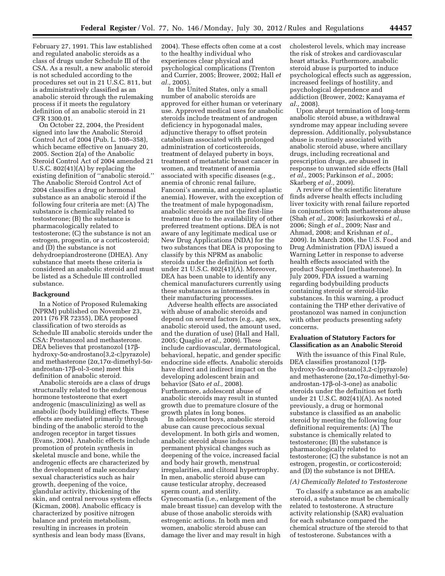February 27, 1991. This law established and regulated anabolic steroids as a class of drugs under Schedule III of the CSA. As a result, a new anabolic steroid is not scheduled according to the procedures set out in 21 U.S.C. 811, but is administratively classified as an anabolic steroid through the rulemaking process if it meets the regulatory definition of an anabolic steroid in 21 CFR 1300.01.

On October 22, 2004, the President signed into law the Anabolic Steroid Control Act of 2004 (Pub. L. 108–358), which became effective on January 20, 2005. Section 2(a) of the Anabolic Steroid Control Act of 2004 amended 21 U.S.C. 802(41)(A) by replacing the existing definition of ''anabolic steroid.'' The Anabolic Steroid Control Act of 2004 classifies a drug or hormonal substance as an anabolic steroid if the following four criteria are met: (A) The substance is chemically related to testosterone; (B) the substance is pharmacologically related to testosterone; (C) the substance is not an estrogen, progestin, or a corticosteroid; and (D) the substance is not dehydroepiandrosterone (DHEA). Any substance that meets these criteria is considered an anabolic steroid and must be listed as a Schedule III controlled substance.

#### **Background**

In a Notice of Proposed Rulemaking (NPRM) published on November 23, 2011 (76 FR 72355), DEA proposed classification of two steroids as Schedule III anabolic steroids under the CSA: Prostanozol and methasterone. DEA believes that prostanozol  $(17\beta$ hydroxy-5a-androstano[3,2-c]pyrazole) and methasterone  $(2\alpha, 17\alpha$ -dimethyl-5 $\alpha$ androstan-17b-ol-3-one) meet this definition of anabolic steroid.

Anabolic steroids are a class of drugs structurally related to the endogenous hormone testosterone that exert androgenic (masculinizing) as well as anabolic (body building) effects. These effects are mediated primarily through binding of the anabolic steroid to the androgen receptor in target tissues (Evans, 2004). Anabolic effects include promotion of protein synthesis in skeletal muscle and bone, while the androgenic effects are characterized by the development of male secondary sexual characteristics such as hair growth, deepening of the voice, glandular activity, thickening of the skin, and central nervous system effects (Kicman, 2008). Anabolic efficacy is characterized by positive nitrogen balance and protein metabolism, resulting in increases in protein synthesis and lean body mass (Evans,

2004). These effects often come at a cost to the healthy individual who experiences clear physical and psychological complications (Trenton and Currier, 2005; Brower, 2002; Hall *et al.,* 2005).

In the United States, only a small number of anabolic steroids are approved for either human or veterinary use. Approved medical uses for anabolic steroids include treatment of androgen deficiency in hypogonadal males, adjunctive therapy to offset protein catabolism associated with prolonged administration of corticosteroids, treatment of delayed puberty in boys, treatment of metastatic breast cancer in women, and treatment of anemia associated with specific diseases (e.g., anemia of chronic renal failure, Fanconi's anemia, and acquired aplastic anemia). However, with the exception of the treatment of male hypogonadism, anabolic steroids are not the first-line treatment due to the availability of other preferred treatment options. DEA is not aware of any legitimate medical use or New Drug Applications (NDA) for the two substances that DEA is proposing to classify by this NPRM as anabolic steroids under the definition set forth under 21 U.S.C. 802(41)(A). Moreover, DEA has been unable to identify any chemical manufacturers currently using these substances as intermediates in their manufacturing processes.

Adverse health effects are associated with abuse of anabolic steroids and depend on several factors (e.g., age, sex, anabolic steroid used, the amount used, and the duration of use) (Hall and Hall, 2005; Quaglio *et al.,* 2009). These include cardiovascular, dermatological, behavioral, hepatic, and gender specific endocrine side effects. Anabolic steroids have direct and indirect impact on the developing adolescent brain and behavior (Sato *et al.,* 2008). Furthermore, adolescent abuse of anabolic steroids may result in stunted growth due to premature closure of the growth plates in long bones.

In adolescent boys, anabolic steroid abuse can cause precocious sexual development. In both girls and women, anabolic steroid abuse induces permanent physical changes such as deepening of the voice, increased facial and body hair growth, menstrual irregularities, and clitoral hypertrophy. In men, anabolic steroid abuse can cause testicular atrophy, decreased sperm count, and sterility. Gynecomastia (i.e., enlargement of the male breast tissue) can develop with the abuse of those anabolic steroids with estrogenic actions. In both men and women, anabolic steroid abuse can damage the liver and may result in high

cholesterol levels, which may increase the risk of strokes and cardiovascular heart attacks. Furthermore, anabolic steroid abuse is purported to induce psychological effects such as aggression, increased feelings of hostility, and psychological dependence and addiction (Brower, 2002; Kanayama *et al.,* 2008).

Upon abrupt termination of long-term anabolic steroid abuse, a withdrawal syndrome may appear including severe depression. Additionally, polysubstance abuse is routinely associated with anabolic steroid abuse, where ancillary drugs, including recreational and prescription drugs, are abused in response to unwanted side effects (Hall *et al.,* 2005; Parkinson *et al.,* 2005; Skarberg *et al.,* 2009).

A review of the scientific literature finds adverse health effects including liver toxicity with renal failure reported in conjunction with methasterone abuse (Shah *et al.,* 2008; Jasiurkowski *et al.,*  2006; Singh *et al.,* 2009; Nasr and Ahmad, 2008; and Krishnan *et al.,*  2009). In March 2006, the U.S. Food and Drug Administration (FDA) issued a Warning Letter in response to adverse health effects associated with the product Superdrol (methasterone). In July 2009, FDA issued a warning regarding bodybuilding products containing steroid or steroid-like substances. In this warning, a product containing the THP ether derivative of prostanozol was named in conjunction with other products presenting safety concerns.

## **Evaluation of Statutory Factors for Classification as an Anabolic Steroid**

With the issuance of this Final Rule, DEA classifies prostanozol (17bhydroxy-5a-androstano[3,2-c]pyrazole) and methasterone  $(2\alpha, 17\alpha$ -dimethyl-5 $\alpha$ androstan-17b-ol-3-one) as anabolic steroids under the definition set forth under 21 U.S.C. 802(41)(A). As noted previously, a drug or hormonal substance is classified as an anabolic steroid by meeting the following four definitional requirements: (A) The substance is chemically related to testosterone; (B) the substance is pharmacologically related to testosterone; (C) the substance is not an estrogen, progestin, or corticosteroid; and (D) the substance is not DHEA.

### *(A) Chemically Related to Testosterone*

To classify a substance as an anabolic steroid, a substance must be chemically related to testosterone. A structure activity relationship (SAR) evaluation for each substance compared the chemical structure of the steroid to that of testosterone. Substances with a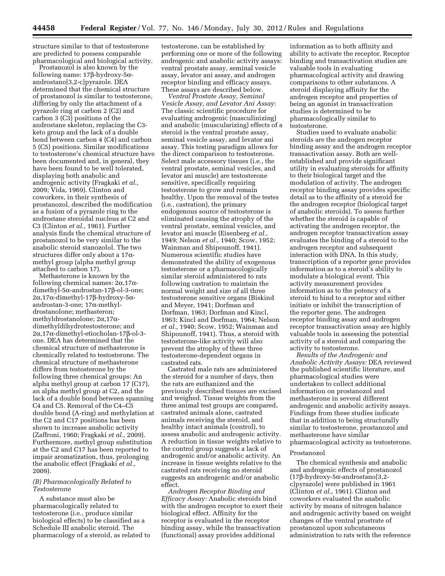structure similar to that of testosterone are predicted to possess comparable pharmacological and biological activity.

Prostanozol is also known by the following name:  $17\beta$ -hydroxy- $5\alpha$ androstano[3,2-c]pyrazole. DEA determined that the chemical structure of prostanozol is similar to testosterone, differing by only the attachment of a pyrazole ring at carbon 2 (C2) and carbon 3 (C3) positions of the androstane skeleton, replacing the C3 keto group and the lack of a double bond between carbon 4 (C4) and carbon 5 (C5) positions. Similar modifications to testosterone's chemical structure have been documented and, in general, they have been found to be well tolerated, displaying both anabolic and androgenic activity (Fragkaki *et al.,*  2009; Vida, 1969). Clinton and coworkers, in their synthesis of prostanozol, described the modification as a fusion of a pyrazole ring to the androstane steroidal nucleus at C2 and C3 (Clinton *et al.,* 1961). Further analysis finds the chemical structure of prostanozol to be very similar to the anabolic steroid stanozolol. The two structures differ only about a  $17\alpha$ methyl group (alpha methyl group attached to carbon 17).

Methasterone is known by the following chemical names:  $2\alpha,17\alpha$ dimethyl-5α-androstan-17β-ol-3-one;  $2\alpha$ ,17 $\alpha$ -dimethyl-17 $\beta$ -hydroxy-5 $\alpha$ androstan-3-one;  $17\alpha$ -methyldrostanolone; methasteron; methyldrostanolone;  $2\alpha,17\alpha$ dimethyldihydrotestosterone; and 2a,17a-dimethyl-etiocholan-17b-ol-3 one. DEA has determined that the chemical structure of methasterone is chemically related to testosterone. The chemical structure of methasterone differs from testosterone by the following three chemical groups: An alpha methyl group at carbon 17 (C17), an alpha methyl group at C2, and the lack of a double bond between spanning C4 and C5. Removal of the C4–C5 double bond (A-ring) and methylation at the C2 and C17 positions has been shown to increase anabolic activity (Zaffroni, 1960; Fragkaki *et al.,* 2009). Furthermore, methyl group substitution at the C2 and C17 has been reported to impair aromatization, thus, prolonging the anabolic effect (Fragkaki *et al.,*  2009).

### *(B) Pharmacologically Related to Testosterone*

A substance must also be pharmacologically related to testosterone (i.e., produce similar biological effects) to be classified as a Schedule III anabolic steroid. The pharmacology of a steroid, as related to

testosterone, can be established by performing one or more of the following androgenic and anabolic activity assays: ventral prostate assay, seminal vesicle assay, levator ani assay, and androgen receptor binding and efficacy assays. These assays are described below.

*Ventral Prostate Assay, Seminal Vesicle Assay, and Levator Ani Assay:*  The classic scientific procedure for evaluating androgenic (masculinizing) and anabolic (muscularizing) effects of a steroid is the ventral prostate assay, seminal vesicle assay, and levator ani assay. This testing paradigm allows for the direct comparison to testosterone. Select male accessory tissues (i.e., the ventral prostate, seminal vesicles, and levator ani muscle) are testosterone sensitive, specifically requiring testosterone to grow and remain healthy. Upon the removal of the testes (i.e., castration), the primary endogenous source of testosterone is eliminated causing the atrophy of the ventral prostate, seminal vesicles, and levator ani muscle (Eisenberg *et al.,*  1949; Nelson *et al.,* 1940; Scow, 1952; Wainman and Shipounoff, 1941). Numerous scientific studies have demonstrated the ability of exogenous testosterone or a pharmacologically similar steroid administered to rats following castration to maintain the normal weight and size of all three testosterone sensitive organs (Biskind and Meyer, 1941; Dorfman and Dorfman, 1963; Dorfman and Kincl, 1963; Kincl and Dorfman, 1964; Nelson *et al.,* 1940; Scow, 1952; Wainman and Shipounoff, 1941). Thus, a steroid with testosterone-like activity will also prevent the atrophy of these three testosterone-dependent organs in castrated rats.

Castrated male rats are administered the steroid for a number of days, then the rats are euthanized and the previously described tissues are excised and weighed. Tissue weights from the three animal test groups are compared, castrated animals alone, castrated animals receiving the steroid, and healthy intact animals (control), to assess anabolic and androgenic activity. A reduction in tissue weights relative to the control group suggests a lack of androgenic and/or anabolic activity. An increase in tissue weights relative to the castrated rats receiving no steroid suggests an androgenic and/or anabolic effect.

*Androgen Receptor Binding and Efficacy Assay:* Anabolic steroids bind with the androgen receptor to exert their biological effect. Affinity for the receptor is evaluated in the receptor binding assay, while the transactivation (functional) assay provides additional

information as to both affinity and ability to activate the receptor. Receptor binding and transactivation studies are valuable tools in evaluating pharmacological activity and drawing comparisons to other substances. A steroid displaying affinity for the androgen receptor and properties of being an agonist in transactivation studies is determined to be pharmacologically similar to testosterone.

Studies used to evaluate anabolic steroids are the androgen receptor binding assay and the androgen receptor transactivation assay. Both are wellestablished and provide significant utility in evaluating steroids for affinity to their biological target and the modulation of activity. The androgen receptor binding assay provides specific detail as to the affinity of a steroid for the androgen receptor (biological target of anabolic steroids). To assess further whether the steroid is capable of activating the androgen receptor, the androgen receptor transactivation assay evaluates the binding of a steroid to the androgen receptor and subsequent interaction with DNA. In this study, transcription of a reporter gene provides information as to a steroid's ability to modulate a biological event. This activity measurement provides information as to the potency of a steroid to bind to a receptor and either initiate or inhibit the transcription of the reporter gene. The androgen receptor binding assay and androgen receptor transactivation assay are highly valuable tools in assessing the potential activity of a steroid and comparing the activity to testosterone.

*Results of the Androgenic and Anabolic Activity Assays:* DEA reviewed the published scientific literature, and pharmacological studies were undertaken to collect additional information on prostanozol and methasterone in several different androgenic and anabolic activity assays. Findings from these studies indicate that in addition to being structurally similar to testosterone, prostanozol and methasterone have similar pharmacological activity as testosterone.

#### Prostanozol

The chemical synthesis and anabolic and androgenic effects of prostanozol  $(17\beta$ -hydroxy-5 $\alpha$ -androstano[3,2c]pyrazole) were published in 1961 (Clinton *et al.,* 1961). Clinton and coworkers evaluated the anabolic activity by means of nitrogen balance and androgenic activity based on weight changes of the ventral prostrate of prostanozol upon subcutaneous administration to rats with the reference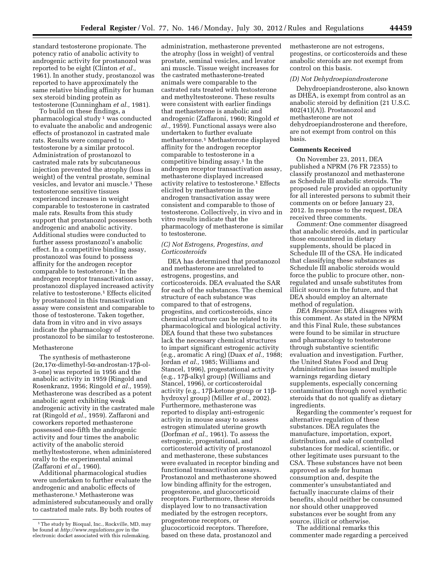standard testosterone propionate. The potency ratio of anabolic activity to androgenic activity for prostanozol was reported to be eight (Clinton *et al.,*  1961). In another study, prostanozol was reported to have approximately the same relative binding affinity for human sex steroid binding protein as testosterone (Cunningham *et al.,* 1981).

To build on these findings, a pharmacological study 1 was conducted to evaluate the anabolic and androgenic effects of prostanozol in castrated male rats. Results were compared to testosterone by a similar protocol. Administration of prostanozol to castrated male rats by subcutaneous injection prevented the atrophy (loss in weight) of the ventral prostate, seminal vesicles, and levator ani muscle.1 These testosterone sensitive tissues experienced increases in weight comparable to testosterone in castrated male rats. Results from this study support that prostanozol possesses both androgenic and anabolic activity. Additional studies were conducted to further assess prostanozol's anabolic effect. In a competitive binding assay, prostanozol was found to possess affinity for the androgen receptor comparable to testosterone.<sup>1</sup> In the androgen receptor transactivation assay, prostanozol displayed increased activity relative to testosterone.1 Effects elicited by prostanozol in this transactivation assay were consistent and comparable to those of testosterone. Taken together, data from in vitro and in vivo assays indicate the pharmacology of prostanozol to be similar to testosterone.

## Methasterone

The synthesis of methasterone  $(2\alpha, 17\alpha$ -dimethyl-5 $\alpha$ -androstan-17 $\beta$ -ol-3-one) was reported in 1956 and the anabolic activity in 1959 (Ringold and Rosenkranz, 1956; Ringold *et al.,* 1959). Methasterone was described as a potent anabolic agent exhibiting weak androgenic activity in the castrated male rat (Ringold *et al.,* 1959). Zaffaroni and coworkers reported methasterone possessed one-fifth the androgenic activity and four times the anabolic activity of the anabolic steroid methyltestosterone, when administered orally to the experimental animal (Zaffaroni *et al.*, 1960).

Additional pharmacological studies were undertaken to further evaluate the androgenic and anabolic effects of methasterone.1 Methasterone was administered subcutaneously and orally to castrated male rats. By both routes of

administration, methasterone prevented the atrophy (loss in weight) of ventral prostate, seminal vesicles, and levator ani muscle. Tissue weight increases for the castrated methasterone-treated animals were comparable to the castrated rats treated with testosterone and methyltestosterone. These results were consistent with earlier findings that methasterone is anabolic and androgenic (Zaffaroni, 1960; Ringold *et al.,* 1959). Functional assays were also undertaken to further evaluate methasterone.1 Methasterone displayed affinity for the androgen receptor comparable to testosterone in a competitive binding assay.1 In the androgen receptor transactivation assay, methasterone displayed increased activity relative to testosterone.1 Effects elicited by methasterone in the androgen transactivation assay were consistent and comparable to those of testosterone. Collectively, in vivo and in vitro results indicate that the pharmacology of methasterone is similar to testosterone.

## *(C) Not Estrogens, Progestins, and Corticosteroids*

DEA has determined that prostanozol and methasterone are unrelated to estrogens, progestins, and corticosteroids. DEA evaluated the SAR for each of the substances. The chemical structure of each substance was compared to that of estrogens, progestins, and corticosteroids, since chemical structure can be related to its pharmacological and biological activity. DEA found that these two substances lack the necessary chemical structures to impart significant estrogenic activity (e.g., aromatic A ring) (Duax *et al.,* 1988; Jordan *et al.,* 1985; Williams and Stancel, 1996), progestational activity (e.g., 17b-alkyl group) (Williams and Stancel, 1996), or corticosteroidal activity (e.g.,  $17\beta$ -ketone group or  $11\beta$ hydroxyl group) (Miller *et al.,* 2002). Furthermore, methasterone was reported to display anti-estrogenic activity in mouse assay to assess estrogen stimulated uterine growth (Dorfman *et al.,* 1961). To assess the estrogenic, progestational, and corticosteroid activity of prostanozol and methasterone, these substances were evaluated in receptor binding and functional transactivation assays. Prostanozol and methasterone showed low binding affinity for the estrogen, progesterone, and glucocorticoid receptors. Furthermore, these steroids displayed low to no transactivation mediated by the estrogen receptors, progesterone receptors, or glucocorticoid receptors. Therefore, based on these data, prostanozol and

methasterone are not estrogens, progestins, or corticosteroids and these anabolic steroids are not exempt from control on this basis.

### *(D) Not Dehydroepiandrosterone*

Dehydroepiandrosterone, also known as DHEA, is exempt from control as an anabolic steroid by definition (21 U.S.C. 802(41)(A)). Prostanozol and methasterone are not dehydroepiandrosterone and therefore, are not exempt from control on this basis.

### **Comments Received**

On November 23, 2011, DEA published a NPRM (76 FR 72355) to classify prostanozol and methasterone as Schedule III anabolic steroids. The proposed rule provided an opportunity for all interested persons to submit their comments on or before January 23, 2012. In response to the request, DEA received three comments.

*Comment:* One commenter disagreed that anabolic steroids, and in particular those encountered in dietary supplements, should be placed in Schedule III of the CSA. He indicated that classifying these substances as Schedule III anabolic steroids would force the public to procure other, nonregulated and unsafe substitutes from illicit sources in the future, and that DEA should employ an alternate method of regulation.

*DEA Response:* DEA disagrees with this comment. As stated in the NPRM and this Final Rule, these substances were found to be similar in structure and pharmacology to testosterone through substantive scientific evaluation and investigation. Further, the United States Food and Drug Administration has issued multiple warnings regarding dietary supplements, especially concerning contamination through novel synthetic steroids that do not qualify as dietary ingredients.

Regarding the commenter's request for alternative regulation of these substances. DEA regulates the manufacture, importation, export, distribution, and sale of controlled substances for medical, scientific, or other legitimate uses pursuant to the CSA. These substances have not been approved as safe for human consumption and, despite the commenter's unsubstantiated and factually inaccurate claims of their benefits, should neither be consumed nor should other unapproved substances ever be sought from any source, illicit or otherwise.

The additional remarks this commenter made regarding a perceived

<sup>&</sup>lt;sup>1</sup>The study by Bioqual, Inc., Rockville, MD, may be found at *<http://www.regulations.gov>* in the electronic docket associated with this rulemaking.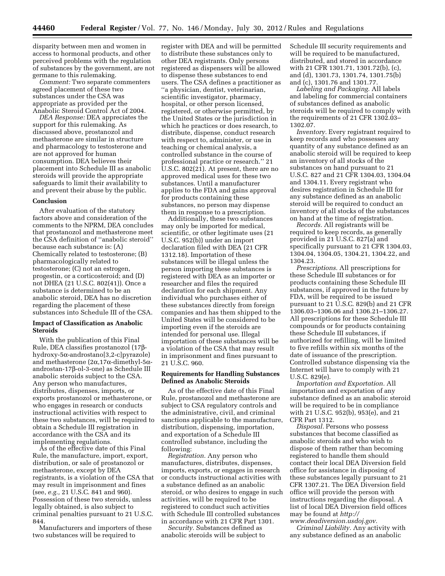disparity between men and women in access to hormonal products, and other perceived problems with the regulation of substances by the government, are not germane to this rulemaking.

*Comment:* Two separate commenters agreed placement of these two substances under the CSA was appropriate as provided per the Anabolic Steroid Control Act of 2004.

*DEA Response:* DEA appreciates the support for this rulemaking. As discussed above, prostanozol and methasterone are similar in structure and pharmacology to testosterone and are not approved for human consumption. DEA believes their placement into Schedule III as anabolic steroids will provide the appropriate safeguards to limit their availability to and prevent their abuse by the public.

#### **Conclusion**

After evaluation of the statutory factors above and consideration of the comments to the NPRM, DEA concludes that prostanozol and methasterone meet the CSA definition of ''anabolic steroid'' because each substance is: (A) Chemically related to testosterone; (B) pharmacologically related to testosterone; (C) not an estrogen, progestin, or a corticosteroid; and (D) not DHEA (21 U.S.C. 802(41)). Once a substance is determined to be an anabolic steroid, DEA has no discretion regarding the placement of these substances into Schedule III of the CSA.

## **Impact of Classification as Anabolic Steroids**

With the publication of this Final Rule, DEA classifies prostanozol (17bhydroxy-5a-androstano[3,2-c]pyrazole) and methasterone  $(2\alpha, 17\alpha$ -dimethyl-5 $\alpha$ androstan-17b-ol-3-one) as Schedule III anabolic steroids subject to the CSA. Any person who manufactures, distributes, dispenses, imports, or exports prostanozol or methasterone, or who engages in research or conducts instructional activities with respect to these two substances, will be required to obtain a Schedule III registration in accordance with the CSA and its implementing regulations.

As of the effective date of this Final Rule, the manufacture, import, export, distribution, or sale of prostanozol or methasterone, except by DEA registrants, is a violation of the CSA that may result in imprisonment and fines (see, *e.g.,* 21 U.S.C. 841 and 960). Possession of these two steroids, unless legally obtained, is also subject to criminal penalties pursuant to 21 U.S.C. 844.

Manufacturers and importers of these two substances will be required to

register with DEA and will be permitted to distribute these substances only to other DEA registrants. Only persons registered as dispensers will be allowed to dispense these substances to end users. The CSA defines a practitioner as ''a physician, dentist, veterinarian, scientific investigator, pharmacy, hospital, or other person licensed, registered, or otherwise permitted, by the United States or the jurisdiction in which he practices or does research, to distribute, dispense, conduct research with respect to, administer, or use in teaching or chemical analysis, a controlled substance in the course of professional practice or research.'' 21 U.S.C. 802(21). At present, there are no approved medical uses for these two substances. Until a manufacturer applies to the FDA and gains approval for products containing these substances, no person may dispense them in response to a prescription.

Additionally, these two substances may only be imported for medical, scientific, or other legitimate uses (21 U.S.C. 952(b)) under an import declaration filed with DEA (21 CFR 1312.18). Importation of these substances will be illegal unless the person importing these substances is registered with DEA as an importer or researcher and files the required declaration for each shipment. Any individual who purchases either of these substances directly from foreign companies and has them shipped to the United States will be considered to be importing even if the steroids are intended for personal use. Illegal importation of these substances will be a violation of the CSA that may result in imprisonment and fines pursuant to 21 U.S.C. 960.

### **Requirements for Handling Substances Defined as Anabolic Steroids**

As of the effective date of this Final Rule, prostanozol and methasterone are subject to CSA regulatory controls and the administrative, civil, and criminal sanctions applicable to the manufacture, distribution, dispensing, importation, and exportation of a Schedule III controlled substance, including the following:

*Registration.* Any person who manufactures, distributes, dispenses, imports, exports, or engages in research or conducts instructional activities with a substance defined as an anabolic steroid, or who desires to engage in such activities, will be required to be registered to conduct such activities with Schedule III controlled substances in accordance with 21 CFR Part 1301.

*Security.* Substances defined as anabolic steroids will be subject to Schedule III security requirements and will be required to be manufactured, distributed, and stored in accordance with 21 CFR 1301.71, 1301.72(b), (c), and (d), 1301.73, 1301.74, 1301.75(b) and (c), 1301.76 and 1301.77.

*Labeling and Packaging.* All labels and labeling for commercial containers of substances defined as anabolic steroids will be required to comply with the requirements of 21 CFR 1302.03– 1302.07.

*Inventory.* Every registrant required to keep records and who possesses any quantity of any substance defined as an anabolic steroid will be required to keep an inventory of all stocks of the substances on hand pursuant to 21 U.S.C. 827 and 21 CFR 1304.03, 1304.04 and 1304.11. Every registrant who desires registration in Schedule III for any substance defined as an anabolic steroid will be required to conduct an inventory of all stocks of the substances on hand at the time of registration.

*Records.* All registrants will be required to keep records, as generally provided in 21 U.S.C. 827(a) and specifically pursuant to 21 CFR 1304.03, 1304.04, 1304.05, 1304.21, 1304.22, and 1304.23.

*Prescriptions.* All prescriptions for these Schedule III substances or for products containing these Schedule III substances, if approved in the future by FDA, will be required to be issued pursuant to 21 U.S.C. 829(b) and 21 CFR 1306.03–1306.06 and 1306.21–1306.27. All prescriptions for these Schedule III compounds or for products containing these Schedule III substances, if authorized for refilling, will be limited to five refills within six months of the date of issuance of the prescription. Controlled substance dispensing via the Internet will have to comply with 21 U.S.C. 829(e).

*Importation and Exportation.* All importation and exportation of any substance defined as an anabolic steroid will be required to be in compliance with 21 U.S.C. 952(b), 953(e), and 21 CFR Part 1312.

*Disposal.* Persons who possess substances that become classified as anabolic steroids and who wish to dispose of them rather than becoming registered to handle them should contact their local DEA Diversion field office for assistance in disposing of these substances legally pursuant to 21 CFR 1307.21. The DEA Diversion field office will provide the person with instructions regarding the disposal. A list of local DEA Diversion field offices may be found at *[http://](http://www.deadiversion.usdoj.gov)* 

*[www.deadiversion.usdoj.gov](http://www.deadiversion.usdoj.gov). Criminal Liability.* Any activity with any substance defined as an anabolic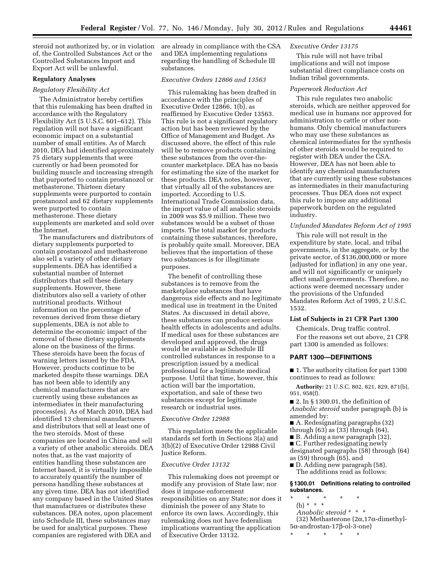steroid not authorized by, or in violation of, the Controlled Substances Act or the Controlled Substances Import and Export Act will be unlawful.

#### **Regulatory Analyses**

## *Regulatory Flexibility Act*

The Administrator hereby certifies that this rulemaking has been drafted in accordance with the Regulatory Flexibility Act (5 U.S.C. 601–612). This regulation will not have a significant economic impact on a substantial number of small entities. As of March 2010, DEA had identified approximately 75 dietary supplements that were currently or had been promoted for building muscle and increasing strength that purported to contain prostanozol or methasterone. Thirteen dietary supplements were purported to contain prostanozol and 62 dietary supplements were purported to contain methasterone. These dietary supplements are marketed and sold over the Internet.

The manufacturers and distributors of dietary supplements purported to contain prostanozol and methasterone also sell a variety of other dietary supplements. DEA has identified a substantial number of Internet distributors that sell these dietary supplements. However, these distributors also sell a variety of other nutritional products. Without information on the percentage of revenues derived from these dietary supplements, DEA is not able to determine the economic impact of the removal of these dietary supplements alone on the business of the firms. These steroids have been the focus of warning letters issued by the FDA. However, products continue to be marketed despite these warnings. DEA has not been able to identify any chemical manufacturers that are currently using these substances as intermediates in their manufacturing process(es). As of March 2010, DEA had identified 13 chemical manufacturers and distributors that sell at least one of the two steroids. Most of these companies are located in China and sell a variety of other anabolic steroids. DEA notes that, as the vast majority of entities handling these substances are Internet based, it is virtually impossible to accurately quantify the number of persons handling these substances at any given time. DEA has not identified any company based in the United States that manufactures or distributes these substances. DEA notes, upon placement into Schedule III, these substances may be used for analytical purposes. These companies are registered with DEA and

are already in compliance with the CSA and DEA implementing regulations regarding the handling of Schedule III substances.

## *Executive Orders 12866 and 13563*

This rulemaking has been drafted in accordance with the principles of Executive Order 12866, 1(b), as reaffirmed by Executive Order 13563. This rule is not a significant regulatory action but has been reviewed by the Office of Management and Budget. As discussed above, the effect of this rule will be to remove products containing these substances from the over-thecounter marketplace. DEA has no basis for estimating the size of the market for these products. DEA notes, however, that virtually all of the substances are imported. According to U.S. International Trade Commission data, the import value of all anabolic steroids in 2009 was \$5.9 million. These two substances would be a subset of those imports. The total market for products containing these substances, therefore, is probably quite small. Moreover, DEA believes that the importation of these two substances is for illegitimate purposes.

The benefit of controlling these substances is to remove from the marketplace substances that have dangerous side effects and no legitimate medical use in treatment in the United States. As discussed in detail above, these substances can produce serious health effects in adolescents and adults. If medical uses for these substances are developed and approved, the drugs would be available as Schedule III controlled substances in response to a prescription issued by a medical professional for a legitimate medical purpose. Until that time, however, this action will bar the importation, exportation, and sale of these two substances except for legitimate research or industrial uses.

## *Executive Order 12988*

This regulation meets the applicable standards set forth in Sections 3(a) and 3(b)(2) of Executive Order 12988 Civil Justice Reform.

### *Executive Order 13132*

This rulemaking does not preempt or modify any provision of State law; nor does it impose enforcement responsibilities on any State; nor does it diminish the power of any State to enforce its own laws. Accordingly, this rulemaking does not have federalism implications warranting the application of Executive Order 13132.

## *Executive Order 13175*

This rule will not have tribal implications and will not impose substantial direct compliance costs on Indian tribal governments.

#### *Paperwork Reduction Act*

This rule regulates two anabolic steroids, which are neither approved for medical use in humans nor approved for administration to cattle or other nonhumans. Only chemical manufacturers who may use these substances as chemical intermediates for the synthesis of other steroids would be required to register with DEA under the CSA. However, DEA has not been able to identify any chemical manufacturers that are currently using these substances as intermediates in their manufacturing processes. Thus DEA does not expect this rule to impose any additional paperwork burden on the regulated industry.

#### *Unfunded Mandates Reform Act of 1995*

This rule will not result in the expenditure by state, local, and tribal governments, in the aggregate, or by the private sector, of \$136,000,000 or more (adjusted for inflation) in any one year, and will not significantly or uniquely affect small governments. Therefore, no actions were deemed necessary under the provisions of the Unfunded Mandates Reform Act of 1995, 2 U.S.C. 1532.

# **List of Subjects in 21 CFR Part 1300**

Chemicals, Drug traffic control. For the reasons set out above, 21 CFR part 1300 is amended as follows:

### **PART 1300—DEFINITIONS**

■ 1. The authority citation for part 1300 continues to read as follows:

**Authority:** 21 U.S.C. 802, 821, 829, 871(b), 951, 958(f).

- 2. In § 1300.01, the definition of *Anabolic steroid* under paragraph (b) is amended by:
- A. Redesignating paragraphs (32)
- through (63) as (33) through (64),
- B. Adding a new paragraph (32),
- C. Further redesignating newly
- designated paragraphs (58) through (64) as (59) through (65), and
- D. Adding new paragraph (58). The additions read as follows:

#### **§ 1300.01 Definitions relating to controlled substances.**

- \* \* \* \* \* (b) \* \* \*
	- *Anabolic steroid* \* \* \*
- (32) Methasterone (2 $\alpha$ ,17 $\alpha$ -dimethyl- $5\alpha$ -androstan-17 $\beta$ -ol-3-one)
- \* \* \* \* \*